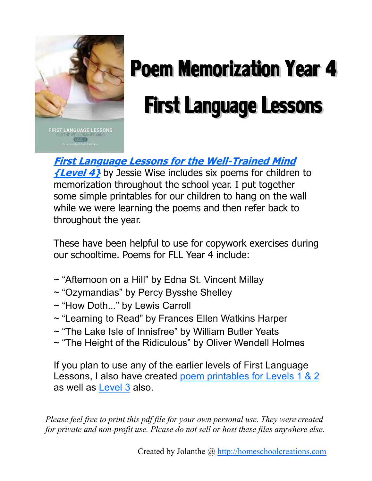

# **Poem Memorization Year 4 First Language Lessons**

**FIRST LANGUAGE LESSONS** 

**[First Language Lessons for the Well-Trained Mind](http://www.amazon.com/dp/1933339349?tag=languagewebsite-20&camp=0&creative=0&linkCode=as1&creativeASIN=1933339349&adid=1GJ3ZX7DNVT0956SPADM)** 

**[{Level 4}](http://www.amazon.com/dp/1933339349?tag=languagewebsite-20&camp=0&creative=0&linkCode=as1&creativeASIN=1933339349&adid=1GJ3ZX7DNVT0956SPADM)** by Jessie Wise includes six poems for children to memorization throughout the school year. I put together some simple printables for our children to hang on the wall while we were learning the poems and then refer back to throughout the year.

These have been helpful to use for copywork exercises during our schooltime. Poems for FLL Year 4 include:

- ~ "Afternoon on a Hill" by Edna St. Vincent Millay
- ~ "Ozymandias" by Percy Bysshe Shelley
- ~ "How Doth..." by Lewis Carroll
- ~ "Learning to Read" by Frances Ellen Watkins Harper
- ~ "The Lake Isle of Innisfree" by William Butler Yeats
- ~ "The Height of the Ridiculous" by Oliver Wendell Holmes

If you plan to use any of the earlier levels of First Language Lessons, I also have created [poem printables for Levels 1 & 2](http://homeschoolcreations.com/Language.html) as well as [Level 3](http://homeschoolcreations.com/Language.html) also.

*Please feel free to print this pdf file for your own personal use. They were created for private and non-profit use. Please do not sell or host these files anywhere else.*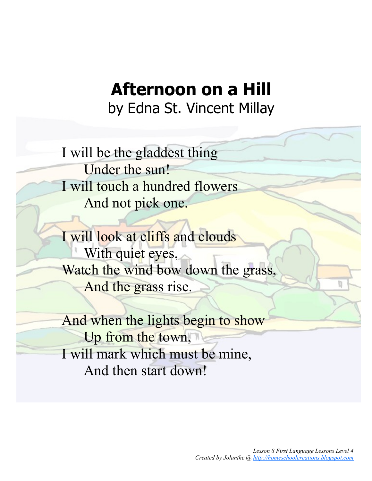### **Afternoon on a Hill** by Edna St. Vincent Millay

I will be the gladdest thing Under the sun! I will touch a hundred flowers And not pick one.

I will look at cliffs and clouds With quiet eyes, Watch the wind bow down the grass, And the grass rise.

And when the lights begin to show Up from the town, I will mark which must be mine, And then start down!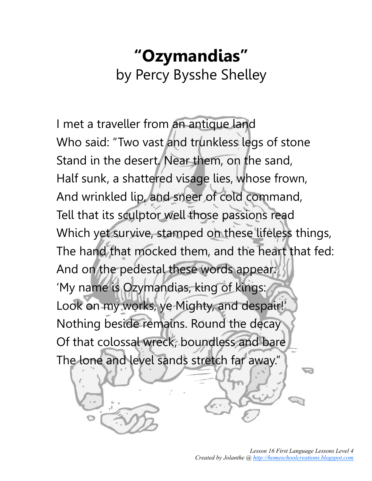## **"Ozymandias"** by Percy Bysshe Shelley

I met a traveller from an antique land Who said: "Two vast and trunkless legs of stone Stand in the desert. Near them, on the sand, Half sunk, a shattered visage lies, whose frown, And wrinkled lip, and sneer of cold command, Tell that its sculptor well those passions read Which yet survive, stamped on these lifeless things, The hand that mocked them, and the heart that fed: And on the pedestal these words appear: 'My name is Ozymandias, king of kings: Look on my works, ye Mighty, and despair!' Nothing beside remains. Round the decay Of that colossal wreck, boundless and bare The lone and level sands stretch far away."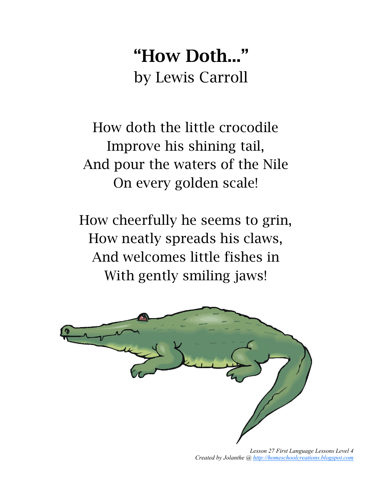## **"How Doth..."** by Lewis Carroll

How doth the little crocodile Improve his shining tail, And pour the waters of the Nile On every golden scale!

How cheerfully he seems to grin, How neatly spreads his claws, And welcomes little fishes in With gently smiling jaws!

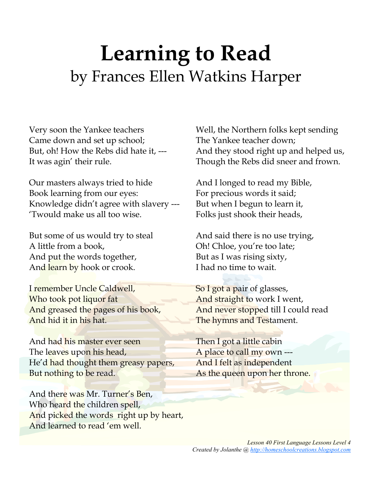## **Learning to Read** by Frances Ellen Watkins Harper

Very soon the Yankee teachers Came down and set up school; But, oh! How the Rebs did hate it, --- It was agin' their rule.

Our masters always tried to hide Book learning from our eyes: Knowledge didn't agree with slavery --- 'Twould make us all too wise.

But some of us would try to steal A little from a book, And put the words together, And learn by hook or crook.

I remember Uncle Caldwell, Who took pot liquor fat And greased the pages of his book, And hid it in his hat.

And had his master ever seen The leaves upon his head, He'd had thought them greasy papers, But nothing to be read.

And there was Mr. Turner's Ben, Who heard the children spell, And picked the words right up by heart, And learned to read 'em well.

Well, the Northern folks kept sending The Yankee teacher down; And they stood right up and helped us, Though the Rebs did sneer and frown.

And I longed to read my Bible, For precious words it said; But when I begun to learn it, Folks just shook their heads,

And said there is no use trying, Oh! Chloe, you're too late; But as I was rising sixty, I had no time to wait.

So I got a pair of glasses, And straight to work I went, And never stopped till I could read The hymns and Testament.

Then I got a little cabin A place to call my own --- And I felt as independent As the queen upon her throne.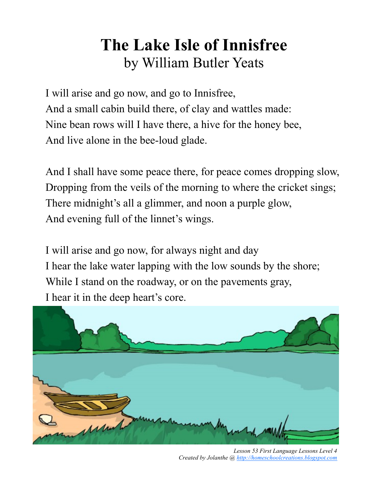### **The Lake Isle of Innisfree** by William Butler Yeats

I will arise and go now, and go to Innisfree, And a small cabin build there, of clay and wattles made: Nine bean rows will I have there, a hive for the honey bee, And live alone in the bee-loud glade.

And I shall have some peace there, for peace comes dropping slow, Dropping from the veils of the morning to where the cricket sings; There midnight's all a glimmer, and noon a purple glow, And evening full of the linnet's wings.

I will arise and go now, for always night and day I hear the lake water lapping with the low sounds by the shore; While I stand on the roadway, or on the pavements gray, I hear it in the deep heart's core.



*Lesson 53 First Language Lessons Level 4 Created by Jolanthe @ [http://homeschoolcreations.blogspot.com](http://homeschoolcreations.blogspot.com/)*